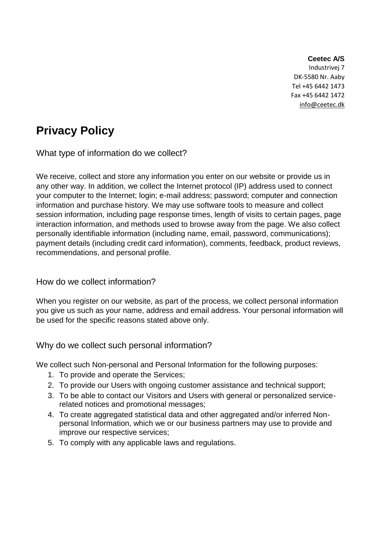#### **Ceetec A/S**

Industrivej 7 DK-5580 Nr. Aaby Tel +45 6442 1473 Fax +45 6442 1472 info@ceetec.dk

# **Privacy Policy**

What type of information do we collect?

We receive, collect and store any information you enter on our website or provide us in any other way. In addition, we collect the Internet protocol (IP) address used to connect your computer to the Internet; login; e-mail address; password; computer and connection information and purchase history. We may use software tools to measure and collect session information, including page response times, length of visits to certain pages, page interaction information, and methods used to browse away from the page. We also collect personally identifiable information (including name, email, password, communications); payment details (including credit card information), comments, feedback, product reviews, recommendations, and personal profile.

How do we collect information?

When you register on our website, as part of the process, we collect personal information you give us such as your name, address and email address. Your personal information will be used for the specific reasons stated above only.

## Why do we collect such personal information?

We collect such Non-personal and Personal Information for the following purposes:

- 1. To provide and operate the Services;
- 2. To provide our Users with ongoing customer assistance and technical support;
- 3. To be able to contact our Visitors and Users with general or personalized servicerelated notices and promotional messages;
- 4. To create aggregated statistical data and other aggregated and/or inferred Nonpersonal Information, which we or our business partners may use to provide and improve our respective services;
- 5. To comply with any applicable laws and regulations.